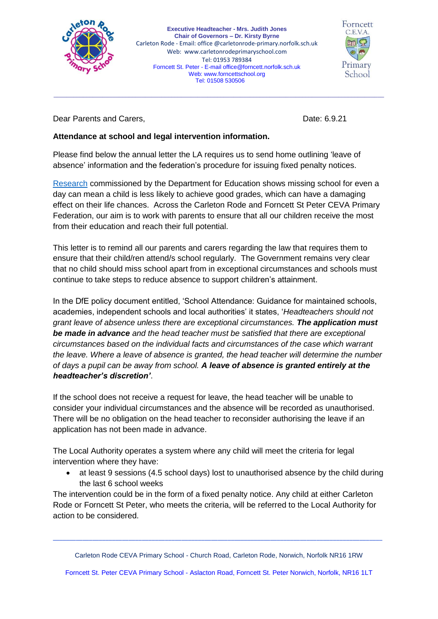

**Executive Headteacher - Mrs. Judith Jones Chair of Governors – Dr. Kirsty Byrne** Carleton Rode - Email: office @carletonrode-primary.norfolk.sch.uk Web: [www.carletonrodeprimaryschool.com](http://www.carletonrodeprimaryschool.com/) Tel: 01953 789384 Forncett St. Peter - E-mail [office@forncett.norfolk.sch.uk](mailto:office@forncett.norfolk.sch.uk)  Web: [www.forncettschool.org](http://www.forncettschool.org/) Tel: 01508 530506

\_\_\_\_\_\_\_\_\_\_\_\_\_\_\_\_\_\_\_\_\_\_\_\_\_\_\_\_\_\_\_\_\_\_\_\_\_\_\_\_\_\_\_\_\_\_\_\_\_\_\_\_\_\_\_\_\_\_\_\_\_\_\_\_\_\_\_\_\_\_\_\_\_\_\_\_\_\_\_\_\_\_\_\_\_\_\_\_\_\_\_\_\_\_\_\_\_\_\_\_\_



Dear Parents and Carers, **Date: 6.9.21** Date: 6.9.21

## **Attendance at school and legal intervention information.**

Please find below the annual letter the LA requires us to send home outlining 'leave of absence' information and the federation's procedure for issuing fixed penalty notices.

[Research](https://www.gov.uk/government/publications/absence-and-attainment-at-key-stages-2-and-4-2013-to-2014) commissioned by the Department for Education shows missing school for even a day can mean a child is less likely to achieve good grades, which can have a damaging effect on their life chances. Across the Carleton Rode and Forncett St Peter CEVA Primary Federation, our aim is to work with parents to ensure that all our children receive the most from their education and reach their full potential.

This letter is to remind all our parents and carers regarding the law that requires them to ensure that their child/ren attend/s school regularly. The Government remains very clear that no child should miss school apart from in exceptional circumstances and schools must continue to take steps to reduce absence to support children's attainment.

In the DfE policy document entitled, 'School Attendance: Guidance for maintained schools, academies, independent schools and local authorities' it states, '*Headteachers should not grant leave of absence unless there are exceptional circumstances. The application must be made in advance and the head teacher must be satisfied that there are exceptional circumstances based on the individual facts and circumstances of the case which warrant the leave. Where a leave of absence is granted, the head teacher will determine the number of days a pupil can be away from school. A leave of absence is granted entirely at the headteacher's discretion'*.

If the school does not receive a request for leave, the head teacher will be unable to consider your individual circumstances and the absence will be recorded as unauthorised. There will be no obligation on the head teacher to reconsider authorising the leave if an application has not been made in advance.

The Local Authority operates a system where any child will meet the criteria for legal intervention where they have:

• at least 9 sessions (4.5 school days) lost to unauthorised absence by the child during the last 6 school weeks

The intervention could be in the form of a fixed penalty notice. Any child at either Carleton Rode or Forncett St Peter, who meets the criteria, will be referred to the Local Authority for action to be considered.

Carleton Rode CEVA Primary School - Church Road, Carleton Rode, Norwich, Norfolk NR16 1RW

\_\_\_\_\_\_\_\_\_\_\_\_\_\_\_\_\_\_\_\_\_\_\_\_\_\_\_\_\_\_\_\_\_\_\_\_\_\_\_\_\_\_\_\_\_\_\_\_\_\_\_\_\_\_\_\_\_\_\_\_\_\_\_\_\_\_\_\_\_\_\_\_\_\_\_\_\_\_\_\_\_\_\_\_\_\_\_\_\_\_\_\_\_\_\_\_\_\_\_\_

Forncett St. Peter CEVA Primary School - Aslacton Road, Forncett St. Peter Norwich, Norfolk, NR16 1LT